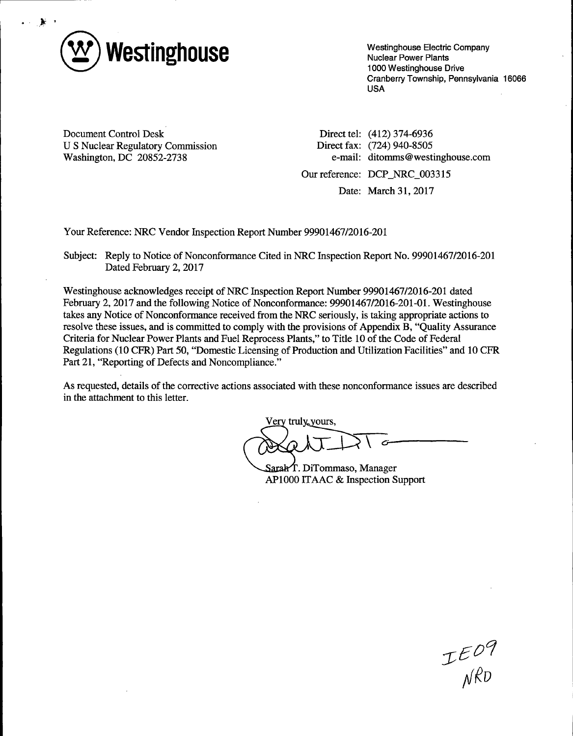

Westinghouse Electric Company Nuclear Power Plants 1000 Westinghouse Drive Cranberry Township, Pennsylvania 16066 USA

Document Control Desk U S Nuclear Regulatory Commission Washington, DC 20852-2738

Direct tel: (412) 374-6936 Direct fax: (724) 940-8505 e-mail: ditomms@westinghouse.com

Our reference: DCP \_NRC\_003315

Date: March 31, 2017

Your Reference: NRC Vendor Inspection Report Number 99901467/2016-201

Subject: Reply to Notice of Nonconformance Cited in NRC Inspection Report No. 99901467/2016-201 Dated February 2, 2017

Westinghouse acknowledges receipt of NRC Inspection Report Number 99901467/2016-201 dated February 2, 2017 and the following Notice of Nonconformance: 99901467/2016-201-01. Westinghouse takes any Notice of Nonconformance received from the NRC seriously, is taking appropriate actions to resolve these issues, and is committed to comply with the provisions of Appendix B, "Quality Assurance Criteria for Nuclear Power Plants and Fuel Reprocess Plants," to Title 10 of the Code of Federal Regulations (10 CFR) Part 50, "Domestic Licensing of Production and Utilization Facilities" and 10 CFR Part 21, "Reporting of Defects and Noncompliance."

As requested, details of the corrective actions associated with these nonconformance issues are described in the attachment to this letter.

Very truly yours,

Sarah T. DiTommaso, Manager APlOOO ITAAC & Inspection Support

 $TEO9$ <br>NRD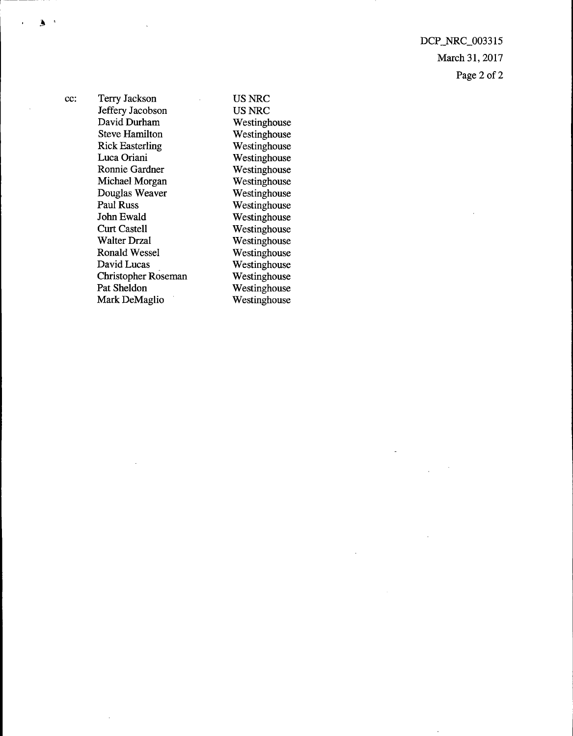DCP \_NRC\_003315 March 31, 2017 Page 2 of 2

1-----

 $\mathbf{A}$ 

cc: Terry Jackson Jeffery Jacobson David Durham Steve Hamilton Rick Easterling Luca Oriani Ronnie Gardner Michael Morgan Douglas Weaver Paul Russ John Ewald Curt Castell Walter Drzal Ronald Wessel David Lucas Christopher Roseman Pat Sheldon Mark DeMaglio

US NRC US NRC Westinghouse Westinghouse Westinghouse Westinghouse Westinghouse Westinghouse Westinghouse Westinghouse Westinghouse Westinghouse Westinghouse Westinghouse Westinghouse Westinghouse Westinghouse Westinghouse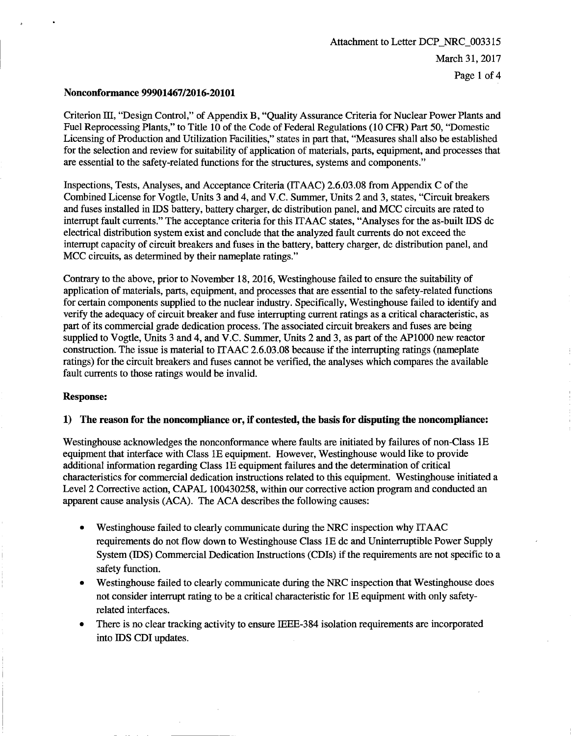## **Nonconformance 99901467/2016-20101**

Criterion III, "Design Control," of Appendix B, "Quality Assurance Criteria for Nuclear Power Plants and Fuel Reprocessing Plants," to Title 10 of the Code of Federal Regulations (10 CFR) Part 50, "Domestic Licensing of Production and Utilization Facilities," states in part that, "Measures shall also be established for the selection and review for suitability of application of materials, parts, equipment, and processes that are essential to the safety-related functions for the structures, systems and components."

Inspections, Tests, Analyses, and Acceptance Criteria (ITAAC) 2.6.03.08 from Appendix C of the Combined License for Vogtle, Units 3 and 4, and V.C. Summer, Units 2 and 3, states, "Circuit breakers and fuses installed in IDS battery, battery charger, de distribution panel, and MCC circuits are rated to interrupt fault currents." The acceptance criteria for this IT AAC states, "Analyses for the as-built IDS de electrical distribution system exist and conclude that the analyzed fault currents do not exceed the interrupt capacity of circuit breakers and fuses in the battery, battery charger, de distribution panel, and MCC circuits, as determined by their nameplate ratings."

Contrary to the above, prior to November 18, 2016, Westinghouse failed to ensure the suitability of application of materials, parts, equipment, and processes that are essential to the safety-related functions for certain components supplied to the nuclear industry. Specifically, Westinghouse failed to identify and verify the adequacy of circuit breaker and fuse interrupting current ratings as a critical characteristic, as part of its commercial grade dedication process. The associated circuit breakers and fuses are being supplied to Vogtle, Units 3 and 4, and V.C. Summer, Units 2 and 3, as part of the APlOOO new reactor construction. The issue is material to ITAAC 2.6.03.08 because if the interrupting ratings (nameplate ratings) for the circuit breakers and fuses cannot be verified, the analyses which compares the available fault currents to those ratings would be invalid.

## **Response:**

## **1) The reason for the noncompliance or, if contested, the basis for disputing the noncompliance:**

Westinghouse acknowledges the nonconformance where faults are initiated by failures of non-Class lE equipment that interface with Class lE equipment. However, Westinghouse would like to provide additional information regarding Class lE equipment failures and the determination of critical characteristics for commercial dedication instructions related to this equipment. Westinghouse initiated a Level 2 Corrective action, CAPAL 100430258, within our corrective action program and conducted an apparent cause analysis (ACA). The ACA describes the following causes:

- Westinghouse failed to clearly communicate during the NRC inspection why ITAAC requirements do not flow down to Westinghouse Class lE de and Uninterruptible Power Supply System (IDS) Commercial Dedication Instructions (CDls) if the requirements are not specific to a safety function.
- Westinghouse failed to clearly communicate during the NRC inspection that Westinghouse does not consider interrupt rating to be a critical characteristic for lE equipment with only safetyrelated interfaces.
- There is no clear tracking activity to ensure IEEE-384 isolation requirements are incorporated into IDS CDI updates.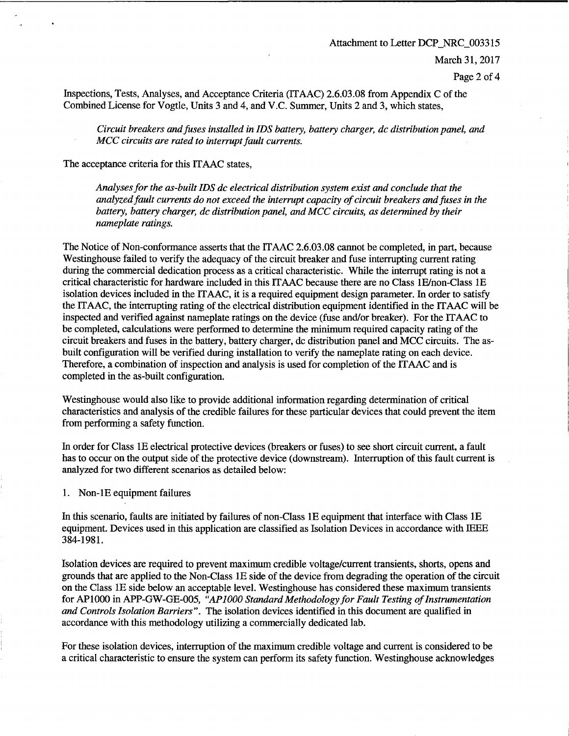## Attachment to Letter DCP \_NRC\_003315

March 31, 2017

Page 2 of 4

Inspections, Tests, Analyses, and Acceptance Criteria (ITAAC) 2.6.03.08 from Appendix C of the Combined License for Vogtle, Units 3 and 4, and V.C. Summer, Units 2 and 3, which states,

*Circuit breakers and fuses installed in IDS battery, battery charger, de distribution panel, and MCC circuits are rated to interrupt fault currents.* 

The acceptance criteria for this IT AAC states,

*Analyses for the as-built IDS de electrical distribution system exist and conclude that the analyzed fault currents do not exceed the interrupt capacity of circuit breakers and fuses in the battery, battery charger, de distribution panel, and MCC circuits, as determined by their nameplate ratings.* 

The Notice of Non-conformance asserts that the ITAAC 2.6.03.08 cannot be completed, in part, because Westinghouse failed to verify the adequacy of the circuit breaker and fuse interrupting current rating during the commercial dedication process as a critical characteristic. While the interrupt rating is not a critical characteristic for hardware included in this IT AAC because there are no Class lE/non-Class lE isolation devices included in the IT AAC, it is a required equipment design parameter. In order to satisfy the ITAAC, the interrupting rating of the electrical distribution equipment identified in the ITAAC will be inspected and verified against nameplate ratings on the device (fuse and/or breaker). For the IT AAC to be completed, calculations were performed to determine the minimum required capacity rating of the circuit breakers and fuses in the battery, battery charger, de distribution panel and MCC circuits. The asbuilt configuration will be verified during installation to verify the nameplate rating on each device. Therefore, a combination of inspection and analysis is used for completion of the ITAAC and is completed in the as-built configuration.

Westinghouse would also like to provide additional information regarding determination of critical characteristics and analysis of the credible failures for these particular devices that could prevent the item from performing a safety function.

In order for Class lE electrical protective devices (breakers or fuses) to see short circuit current, a fault has to occur on the output side of the protective device (downstream). Interruption of this fault current is analyzed for two different scenarios as detailed below:

1. Non-lE equipment failures

In this scenario, faults are initiated by failures of non-Class lE equipment that interface with Class lE equipment. Devices used in this application are classified as Isolation Devices in accordance with IEEE 384-1981.

Isolation devices are required to prevent maximum credible voltage/current transients, shorts, opens and grounds that are applied to the Non-Class lE side of the device from degrading the operation of the circuit on the Class lE side below an acceptable level. Westinghouse has considered these maximum transients for APlOOO in APP-GW-GE-005, *"AP 1000 Standard Methodology for Fault Testing of Instrumentation and Controls Isolation Barriers".* The isolation devices identified in this document are qualified in accordance with this methodology utilizing a commercially dedicated lab.

For these isolation devices, interruption of the maximum credible voltage and current is considered to be a critical characteristic to ensure the system can perform its safety function. Westinghouse acknowledges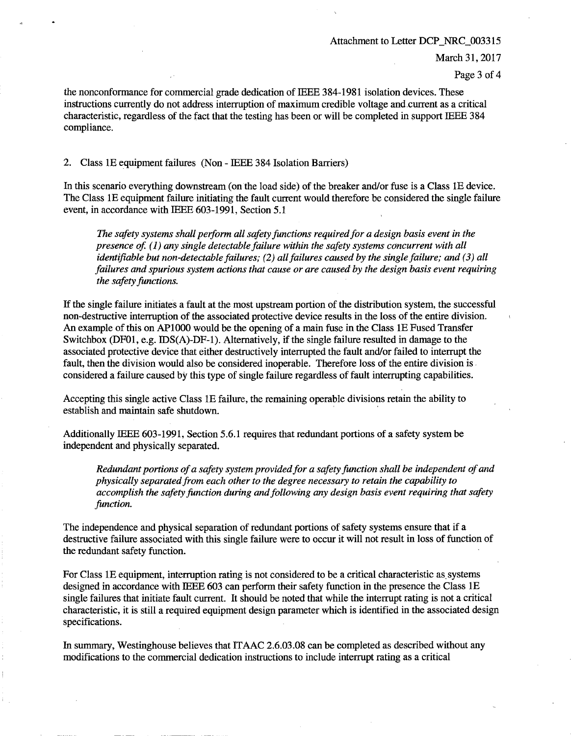#### Attachment to Letter DCP\_NRC\_003315

March 31, 2017

Page 3 of 4

the nonconformance for commercial grade dedication of IEEE 3 84-1981 isolation devices. These instructions currently do not address interruption of maximum credible voltage and.current as a critical characteristic, regardless of the fact that the testing has been or will be completed in support IEEE 384 compliance.

2. Class lE equipment failures (Non - IEEE 384 Isolation Barriers)

In this scenario everything downstream (on the load side) of the breaker and/or fuse is a Class lE device. The Class lE equipment failure initiating the fault current would therefore be considered the single failure event, in accordance with IEEE 603-1991, Section 5.1

*The safety systems shall peiform all safety functions required for a design basis event in the presence of.* (1) any single detectable failure within the safety systems concurrent with all *identifiable but non-detectable failures; (2) all failures caused by the single failure; and (3) all failures and spurious system actions that cause or are caused by the design basis event requiring the safety functions.* 

If the single failure initiates a fault at the most upstream portion of the distribution system, the successful non-destructive interruption of the associated protective device results in the loss of the entire division. An example of this on APlOOO would be the opening of a main fuse in the Class lE Fused Transfer Switchbox (DFOl, e.g. IDS(A)-DF-1). Alternatively, if the single failure resulted in damage to the associated protective device that either destructively interrupted the fault and/or failed to interrupt the fault, then the division would also be considered inoperable. Therefore loss of the entire division is . considered a failure caused by this type of single failure regardless of fault interrupting capabilities.

Accepting this single active Class lE failure, the remaining operable divisions retain the ability to establish and maintain safe shutdown.

Additionally IEEE 603-1991, Section 5.6.1 requires that redundant portions of a safety system be independent and physically separated.

*Redundant portions of a safety system provided for a safety function shall be independent of and physically separated from each other to the degree necessary to retain the capability to accomplish the safety function during and following any design basis event requiring that safety function.* 

The independence and physical separation of redundant portions of safety systems ensure that if a destructive failure associated with this single failure were to occur it will not result in loss of function of the redundant safety function.

For Class 1E equipment, interruption rating is not considered to be a critical characteristic as systems designed in accordance with IEEE 603 can perform their safety function in the presence the Class lE single failures that initiate fault current. It should be noted that while the interrupt rating is not a critical characteristic, it is still a required equipment design parameter which is identified in the associated design specifications.

In summary, Westinghouse believes that ITAAC 2.6.03.08 can be completed as described without any modifications to the commercial dedication instructions to include interrupt rating as a critical